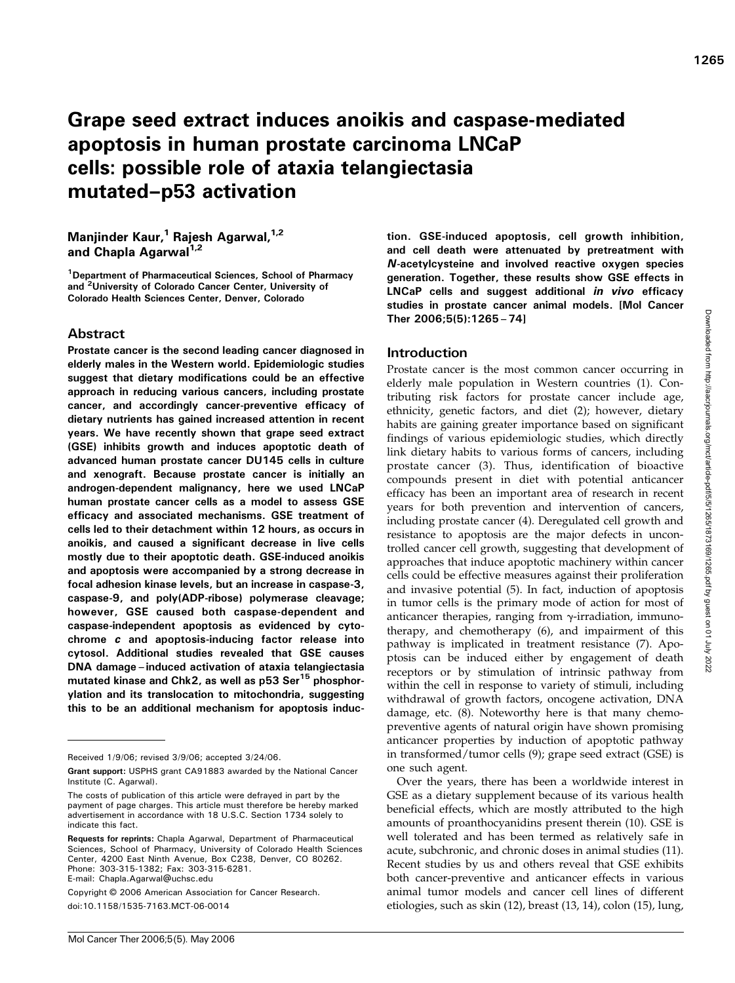# Grape seed extract induces anoikis and caspase-mediated apoptosis in human prostate carcinoma LNCaP cells: possible role of ataxia telangiectasia mutated–p53 activation

## Manjinder Kaur,<sup>1</sup> Rajesh Agarwal, $1/2$ and Chapla Agarwal<sup>1,2</sup>

<sup>1</sup>Department of Pharmaceutical Sciences, School of Pharmacy and <sup>2</sup>University of Colorado Cancer Center, University of Colorado Health Sciences Center, Denver, Colorado

## Abstract

Prostate cancer is the second leading cancer diagnosed in elderly males in the Western world. Epidemiologic studies suggest that dietary modifications could be an effective approach in reducing various cancers, including prostate cancer, and accordingly cancer-preventive efficacy of dietary nutrients has gained increased attention in recent years. We have recently shown that grape seed extract (GSE) inhibits growth and induces apoptotic death of advanced human prostate cancer DU145 cells in culture and xenograft. Because prostate cancer is initially an androgen-dependent malignancy, here we used LNCaP human prostate cancer cells as a model to assess GSE efficacy and associated mechanisms. GSE treatment of cells led to their detachment within 12 hours, as occurs in anoikis, and caused a significant decrease in live cells mostly due to their apoptotic death. GSE-induced anoikis and apoptosis were accompanied by a strong decrease in focal adhesion kinase levels, but an increase in caspase-3, caspase-9, and poly(ADP-ribose) polymerase cleavage; however, GSE caused both caspase-dependent and caspase-independent apoptosis as evidenced by cytochrome c and apoptosis-inducing factor release into cytosol. Additional studies revealed that GSE causes DNA damage–induced activation of ataxia telangiectasia mutated kinase and Chk2, as well as p53 Ser<sup>15</sup> phosphorylation and its translocation to mitochondria, suggesting this to be an additional mechanism for apoptosis induc-

Copyright © 2006 American Association for Cancer Research. doi:10.1158/1535-7163.MCT-06-0014

tion. GSE-induced apoptosis, cell growth inhibition, and cell death were attenuated by pretreatment with N-acetylcysteine and involved reactive oxygen species generation. Together, these results show GSE effects in LNCaP cells and suggest additional in vivo efficacy studies in prostate cancer animal models. [Mol Cancer Ther 2006;5(5):1265–74]

#### Introduction

Prostate cancer is the most common cancer occurring in elderly male population in Western countries (1). Contributing risk factors for prostate cancer include age, ethnicity, genetic factors, and diet (2); however, dietary habits are gaining greater importance based on significant findings of various epidemiologic studies, which directly link dietary habits to various forms of cancers, including prostate cancer (3). Thus, identification of bioactive compounds present in diet with potential anticancer efficacy has been an important area of research in recent years for both prevention and intervention of cancers, including prostate cancer (4). Deregulated cell growth and resistance to apoptosis are the major defects in uncontrolled cancer cell growth, suggesting that development of approaches that induce apoptotic machinery within cancer cells could be effective measures against their proliferation and invasive potential (5). In fact, induction of apoptosis in tumor cells is the primary mode of action for most of anticancer therapies, ranging from  $\gamma$ -irradiation, immunotherapy, and chemotherapy (6), and impairment of this pathway is implicated in treatment resistance (7). Apoptosis can be induced either by engagement of death receptors or by stimulation of intrinsic pathway from within the cell in response to variety of stimuli, including withdrawal of growth factors, oncogene activation, DNA damage, etc. (8). Noteworthy here is that many chemopreventive agents of natural origin have shown promising anticancer properties by induction of apoptotic pathway in transformed/tumor cells (9); grape seed extract (GSE) is one such agent.

Over the years, there has been a worldwide interest in GSE as a dietary supplement because of its various health beneficial effects, which are mostly attributed to the high amounts of proanthocyanidins present therein (10). GSE is well tolerated and has been termed as relatively safe in acute, subchronic, and chronic doses in animal studies (11). Recent studies by us and others reveal that GSE exhibits both cancer-preventive and anticancer effects in various animal tumor models and cancer cell lines of different etiologies, such as skin (12), breast (13, 14), colon (15), lung,

Received 1/9/06; revised 3/9/06; accepted 3/24/06.

Grant support: USPHS grant CA91883 awarded by the National Cancer Institute (C. Agarwal).

The costs of publication of this article were defrayed in part by the payment of page charges. This article must therefore be hereby marked advertisement in accordance with 18 U.S.C. Section 1734 solely to indicate this fact.

Requests for reprints: Chapla Agarwal, Department of Pharmaceutical Sciences, School of Pharmacy, University of Colorado Health Sciences Center, 4200 East Ninth Avenue, Box C238, Denver, CO 80262. Phone: 303-315-1382; Fax: 303-315-6281. E-mail: Chapla.Agarwal@uchsc.edu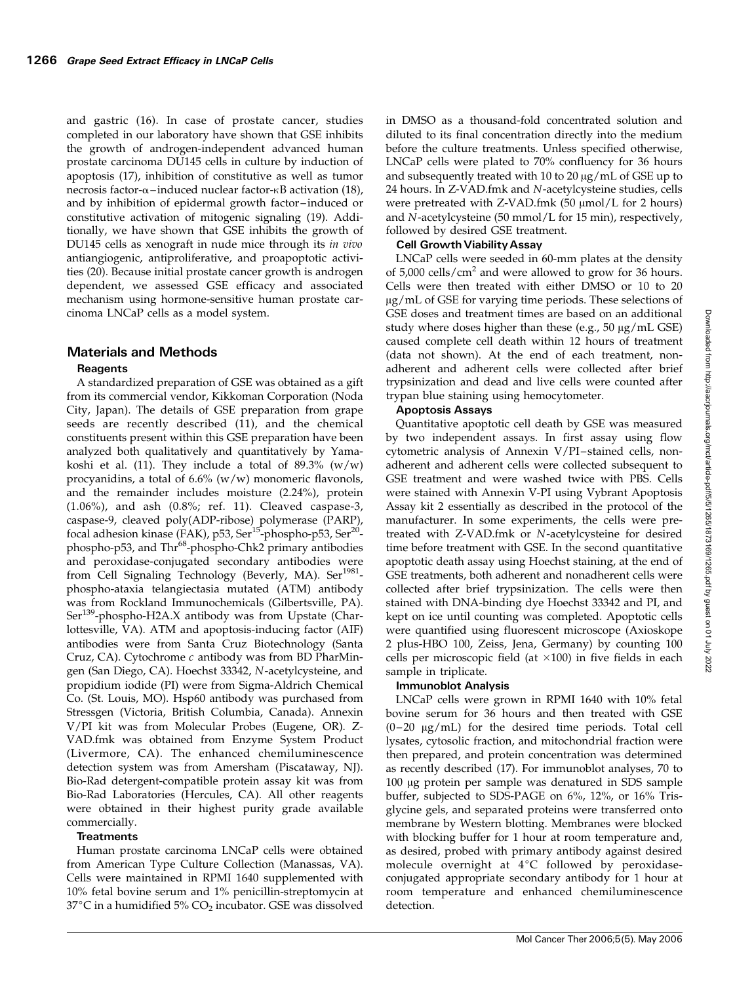and gastric (16). In case of prostate cancer, studies completed in our laboratory have shown that GSE inhibits the growth of androgen-independent advanced human prostate carcinoma DU145 cells in culture by induction of apoptosis (17), inhibition of constitutive as well as tumor necrosis factor- $\alpha$ –induced nuclear factor- $\kappa$ B activation (18), and by inhibition of epidermal growth factor –induced or constitutive activation of mitogenic signaling (19). Additionally, we have shown that GSE inhibits the growth of DU145 cells as xenograft in nude mice through its in vivo antiangiogenic, antiproliferative, and proapoptotic activities (20). Because initial prostate cancer growth is androgen dependent, we assessed GSE efficacy and associated mechanism using hormone-sensitive human prostate carcinoma LNCaP cells as a model system.

## Materials and Methods

## Reagents

A standardized preparation of GSE was obtained as a gift from its commercial vendor, Kikkoman Corporation (Noda City, Japan). The details of GSE preparation from grape seeds are recently described (11), and the chemical constituents present within this GSE preparation have been analyzed both qualitatively and quantitatively by Yamakoshi et al. (11). They include a total of  $89.3\%$  (w/w) procyanidins, a total of 6.6% (w/w) monomeric flavonols, and the remainder includes moisture (2.24%), protein (1.06%), and ash (0.8%; ref. 11). Cleaved caspase-3, caspase-9, cleaved poly(ADP-ribose) polymerase (PARP), focal adhesion kinase (FAK), p53, Ser<sup>15</sup>-phospho-p53, Ser<sup>20</sup>phospho-p53, and Thr<sup>68</sup>-phospho-Chk2 primary antibodies and peroxidase-conjugated secondary antibodies were from Cell Signaling Technology (Beverly, MA). Ser<sup>1981</sup>phospho-ataxia telangiectasia mutated (ATM) antibody was from Rockland Immunochemicals (Gilbertsville, PA). Ser<sup>139</sup>-phospho-H2A.X antibody was from Upstate (Charlottesville, VA). ATM and apoptosis-inducing factor (AIF) antibodies were from Santa Cruz Biotechnology (Santa Cruz, CA). Cytochrome c antibody was from BD PharMingen (San Diego, CA). Hoechst 33342, N-acetylcysteine, and propidium iodide (PI) were from Sigma-Aldrich Chemical Co. (St. Louis, MO). Hsp60 antibody was purchased from Stressgen (Victoria, British Columbia, Canada). Annexin V/PI kit was from Molecular Probes (Eugene, OR). Z-VAD.fmk was obtained from Enzyme System Product (Livermore, CA). The enhanced chemiluminescence detection system was from Amersham (Piscataway, NJ). Bio-Rad detergent-compatible protein assay kit was from Bio-Rad Laboratories (Hercules, CA). All other reagents were obtained in their highest purity grade available commercially.

## **Treatments**

Human prostate carcinoma LNCaP cells were obtained from American Type Culture Collection (Manassas, VA). Cells were maintained in RPMI 1640 supplemented with 10% fetal bovine serum and 1% penicillin-streptomycin at  $37^{\circ}$ C in a humidified 5% CO<sub>2</sub> incubator. GSE was dissolved

in DMSO as a thousand-fold concentrated solution and diluted to its final concentration directly into the medium before the culture treatments. Unless specified otherwise, LNCaP cells were plated to 70% confluency for 36 hours and subsequently treated with 10 to 20  $\mu$ g/mL of GSE up to 24 hours. In Z-VAD.fmk and N-acetylcysteine studies, cells were pretreated with Z-VAD.fmk  $(50 \mu \text{mol/L}$  for 2 hours) and N-acetylcysteine (50 mmol/L for 15 min), respectively, followed by desired GSE treatment.

## **Cell Growth Viability Assay**

LNCaP cells were seeded in 60-mm plates at the density of  $5,000$  cells/cm<sup>2</sup> and were allowed to grow for 36 hours. Cells were then treated with either DMSO or 10 to 20  $\mu$ g/mL of GSE for varying time periods. These selections of GSE doses and treatment times are based on an additional study where doses higher than these (e.g.,  $50 \mu g/mL$  GSE) caused complete cell death within 12 hours of treatment (data not shown). At the end of each treatment, nonadherent and adherent cells were collected after brief trypsinization and dead and live cells were counted after trypan blue staining using hemocytometer.

## Apoptosis Assays

Quantitative apoptotic cell death by GSE was measured by two independent assays. In first assay using flow cytometric analysis of Annexin V/PI-stained cells, nonadherent and adherent cells were collected subsequent to GSE treatment and were washed twice with PBS. Cells were stained with Annexin V-PI using Vybrant Apoptosis Assay kit 2 essentially as described in the protocol of the manufacturer. In some experiments, the cells were pretreated with Z-VAD.fmk or N-acetylcysteine for desired time before treatment with GSE. In the second quantitative apoptotic death assay using Hoechst staining, at the end of GSE treatments, both adherent and nonadherent cells were collected after brief trypsinization. The cells were then stained with DNA-binding dye Hoechst 33342 and PI, and kept on ice until counting was completed. Apoptotic cells were quantified using fluorescent microscope (Axioskope 2 plus-HBO 100, Zeiss, Jena, Germany) by counting 100 cells per microscopic field (at  $\times$ 100) in five fields in each sample in triplicate.

#### Immunoblot Analysis

LNCaP cells were grown in RPMI 1640 with 10% fetal bovine serum for 36 hours and then treated with GSE  $(0-20 \text{ µg/mL})$  for the desired time periods. Total cell lysates, cytosolic fraction, and mitochondrial fraction were then prepared, and protein concentration was determined as recently described (17). For immunoblot analyses, 70 to 100 μg protein per sample was denatured in SDS sample buffer, subjected to SDS-PAGE on 6%, 12%, or 16% Trisglycine gels, and separated proteins were transferred onto membrane by Western blotting. Membranes were blocked with blocking buffer for 1 hour at room temperature and, as desired, probed with primary antibody against desired molecule overnight at  $4^{\circ}C$  followed by peroxidaseconjugated appropriate secondary antibody for 1 hour at room temperature and enhanced chemiluminescence detection.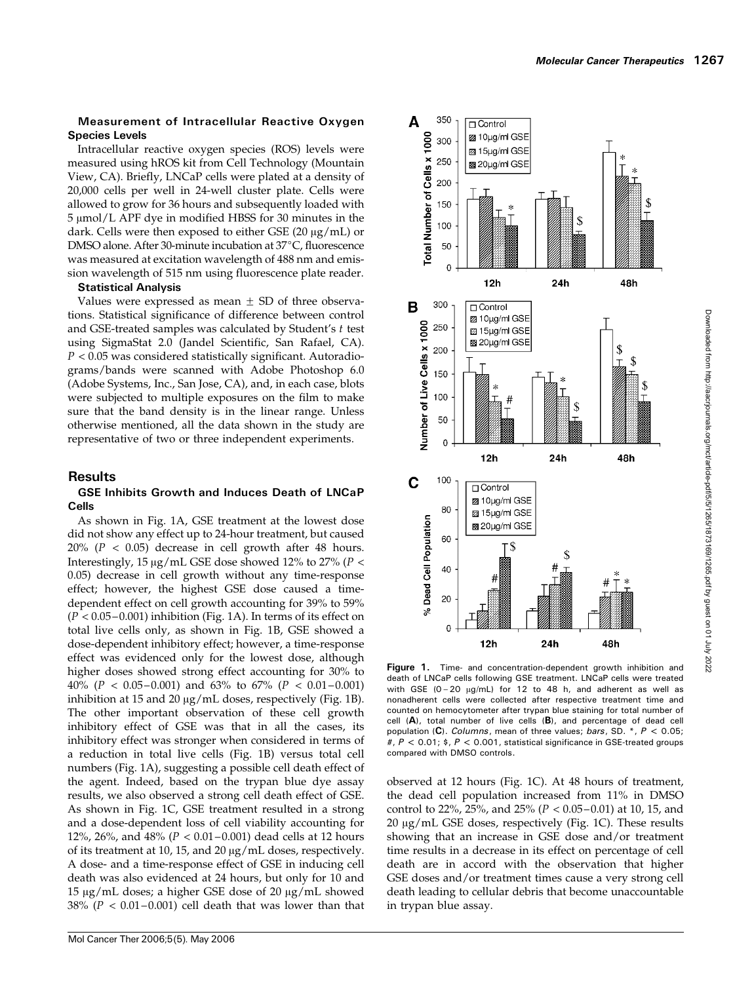### Measurement of Intracellular Reactive Oxygen Species Levels

Intracellular reactive oxygen species (ROS) levels were measured using hROS kit from Cell Technology (Mountain View, CA). Briefly, LNCaP cells were plated at a density of 20,000 cells per well in 24-well cluster plate. Cells were allowed to grow for 36 hours and subsequently loaded with  $5 \mu$ mol/L APF dye in modified HBSS for 30 minutes in the dark. Cells were then exposed to either GSE (20  $\mu$ g/mL) or DMSO alone. After 30-minute incubation at 37°C, fluorescence was measured at excitation wavelength of 488 nm and emission wavelength of 515 nm using fluorescence plate reader.

#### Statistical Analysis

Values were expressed as mean  $\pm$  SD of three observations. Statistical significance of difference between control and GSE-treated samples was calculated by Student's  $t$  test using SigmaStat 2.0 (Jandel Scientific, San Rafael, CA).  $P < 0.05$  was considered statistically significant. Autoradiograms/bands were scanned with Adobe Photoshop 6.0 (Adobe Systems, Inc., San Jose, CA), and, in each case, blots were subjected to multiple exposures on the film to make sure that the band density is in the linear range. Unless otherwise mentioned, all the data shown in the study are representative of two or three independent experiments.

## Results

#### GSE Inhibits Growth and Induces Death of LNCaP Cells

As shown in Fig. 1A, GSE treatment at the lowest dose did not showany effect up to 24-hour treatment, but caused  $20\%$  ( $P < 0.05$ ) decrease in cell growth after 48 hours. Interestingly, 15  $\mu$ g/mL GSE dose showed 12% to 27% (P < 0.05) decrease in cell growth without any time-response effect; however, the highest GSE dose caused a timedependent effect on cell growth accounting for 39% to 59%  $(P < 0.05 - 0.001)$  inhibition (Fig. 1A). In terms of its effect on total live cells only, as shown in Fig. 1B, GSE showed a dose-dependent inhibitory effect; however, a time-response effect was evidenced only for the lowest dose, although higher doses showed strong effect accounting for 30% to 40% ( $P < 0.05 - 0.001$ ) and 63% to 67% ( $P < 0.01 - 0.001$ ) inhibition at 15 and 20  $\mu$ g/mL doses, respectively (Fig. 1B). The other important observation of these cell growth inhibitory effect of GSE was that in all the cases, its inhibitory effect was stronger when considered in terms of a reduction in total live cells (Fig. 1B) versus total cell numbers (Fig. 1A), suggesting a possible cell death effect of the agent. Indeed, based on the trypan blue dye assay results, we also observed a strong cell death effect of GSE. As shown in Fig. 1C, GSE treatment resulted in a strong and a dose-dependent loss of cell viability accounting for 12%, 26%, and 48% ( $P < 0.01 - 0.001$ ) dead cells at 12 hours of its treatment at 10, 15, and 20  $\mu$ g/mL doses, respectively. A dose- and a time-response effect of GSE in inducing cell death was also evidenced at 24 hours, but only for 10 and 15  $\mu$ g/mL doses; a higher GSE dose of 20  $\mu$ g/mL showed 38% ( $P < 0.01 - 0.001$ ) cell death that was lower than that



Downloaded from http://aacrjournals.org/mct/article-pdf/5/5/1265/1873169/1265.pdf by guest on 01 July 2022 Downloaded from http://aacrjournals.org/mct/article-pdf/5/5/1265/1873169/1265.pdf by guest on 01 July 2022

Figure 1. Time- and concentration-dependent growth inhibition and death of LNCaP cells following GSE treatment. LNCaP cells were treated with GSE (0-20  $\mu$ g/mL) for 12 to 48 h, and adherent as well as nonadherent cells were collected after respective treatment time and counted on hemocytometer after trypan blue staining for total number of cell  $(A)$ , total number of live cells  $(B)$ , and percentage of dead cell population (C). Columns, mean of three values; bars, SD.  $^*$ , P < 0.05; #,  $P < 0.01$ ; \$,  $P < 0.001$ , statistical significance in GSE-treated groups compared with DMSO controls.

observed at 12 hours (Fig. 1C). At 48 hours of treatment, the dead cell population increased from 11% in DMSO control to 22%, 25%, and 25% ( $P < 0.05-0.01$ ) at 10, 15, and 20 µg/mL GSE doses, respectively (Fig. 1C). These results showing that an increase in GSE dose and/or treatment time results in a decrease in its effect on percentage of cell death are in accord with the observation that higher GSE doses and/or treatment times cause a very strong cell death leading to cellular debris that become unaccountable in trypan blue assay.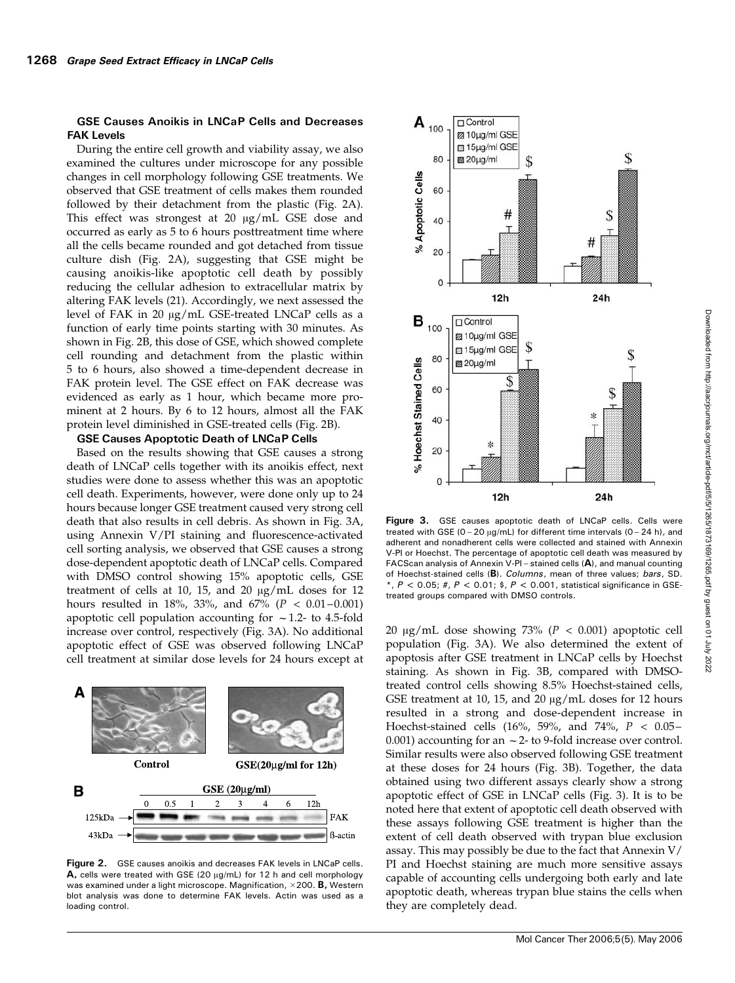#### GSE Causes Anoikis in LNCaP Cells and Decreases FAK Levels

During the entire cell growth and viability assay, we also examined the cultures under microscope for any possible changes in cell morphology following GSE treatments. We observed that GSE treatment of cells makes them rounded followed by their detachment from the plastic (Fig. 2A). This effect was strongest at 20  $\mu$ g/mL GSE dose and occurred as early as 5 to 6 hours posttreatment time where all the cells became rounded and got detached from tissue culture dish (Fig. 2A), suggesting that GSE might be causing anoikis-like apoptotic cell death by possibly reducing the cellular adhesion to extracellular matrix by altering FAK levels (21). Accordingly, we next assessed the level of FAK in 20 µg/mL GSE-treated LNCaP cells as a function of early time points starting with 30 minutes. As shown in Fig. 2B, this dose of GSE, which showed complete cell rounding and detachment from the plastic within 5 to 6 hours, also showed a time-dependent decrease in FAK protein level. The GSE effect on FAK decrease was evidenced as early as 1 hour, which became more prominent at 2 hours. By 6 to 12 hours, almost all the FAK protein level diminished in GSE-treated cells (Fig. 2B).

#### GSE Causes Apoptotic Death of LNCaP Cells

Based on the results showing that GSE causes a strong death of LNCaP cells together with its anoikis effect, next studies were done to assess whether this was an apoptotic cell death. Experiments, however, were done only up to 24 hours because longer GSE treatment caused very strong cell death that also results in cell debris. As shown in Fig. 3A, using Annexin V/PI staining and fluorescence-activated cell sorting analysis, we observed that GSE causes a strong dose-dependent apoptotic death of LNCaP cells. Compared with DMSO control showing 15% apoptotic cells, GSE treatment of cells at 10, 15, and 20  $\mu$ g/mL doses for 12 hours resulted in 18%, 33%, and 67% ( $P < 0.01 - 0.001$ ) apoptotic cell population accounting for  $\sim$  1.2- to 4.5-fold increase over control, respectively (Fig. 3A). No additional apoptotic effect of GSE was observed following LNCaP cell treatment at similar dose levels for 24 hours except at



Figure 2. GSE causes anoikis and decreases FAK levels in LNCaP cells.  $A$ , cells were treated with GSE (20  $\mu$ g/mL) for 12 h and cell morphology was examined under a light microscope. Magnification,  $\times$  200. **B**, Western blot analysis was done to determine FAK levels. Actin was used as a loading control.



Figure 3. GSE causes apoptotic death of LNCaP cells. Cells were treated with GSE  $(0 - 20 \mu\text{mL})$  for different time intervals  $(0 - 24 \text{ h})$ , and adherent and nonadherent cells were collected and stained with Annexin V-PI or Hoechst. The percentage of apoptotic cell death was measured by FACScan analysis of Annexin V-PI – stained cells (A), and manual counting of Hoechst-stained cells (B). Columns, mean of three values; bars, SD.  $*, P < 0.05;$  #,  $P < 0.01;$  \$,  $P < 0.001$ , statistical significance in GSEtreated groups compared with DMSO controls.

20  $\mu$ g/mL dose showing 73% (P < 0.001) apoptotic cell population (Fig. 3A). We also determined the extent of apoptosis after GSE treatment in LNCaP cells by Hoechst staining. As shown in Fig. 3B, compared with DMSOtreated control cells showing 8.5% Hoechst-stained cells, GSE treatment at 10, 15, and 20  $\mu$ g/mL doses for 12 hours resulted in a strong and dose-dependent increase in Hoechst-stained cells (16%, 59%, and 74%,  $P < 0.05 -$ 0.001) accounting for an  $\sim$  2- to 9-fold increase over control. Similar results were also observed following GSE treatment at these doses for 24 hours (Fig. 3B). Together, the data obtained using two different assays clearly show a strong apoptotic effect of GSE in LNCaP cells (Fig. 3). It is to be noted here that extent of apoptotic cell death observed with these assays following GSE treatment is higher than the extent of cell death observed with trypan blue exclusion assay. This may possibly be due to the fact that Annexin V/ PI and Hoechst staining are much more sensitive assays capable of accounting cells undergoing both early and late apoptotic death, whereas trypan blue stains the cells when they are completely dead.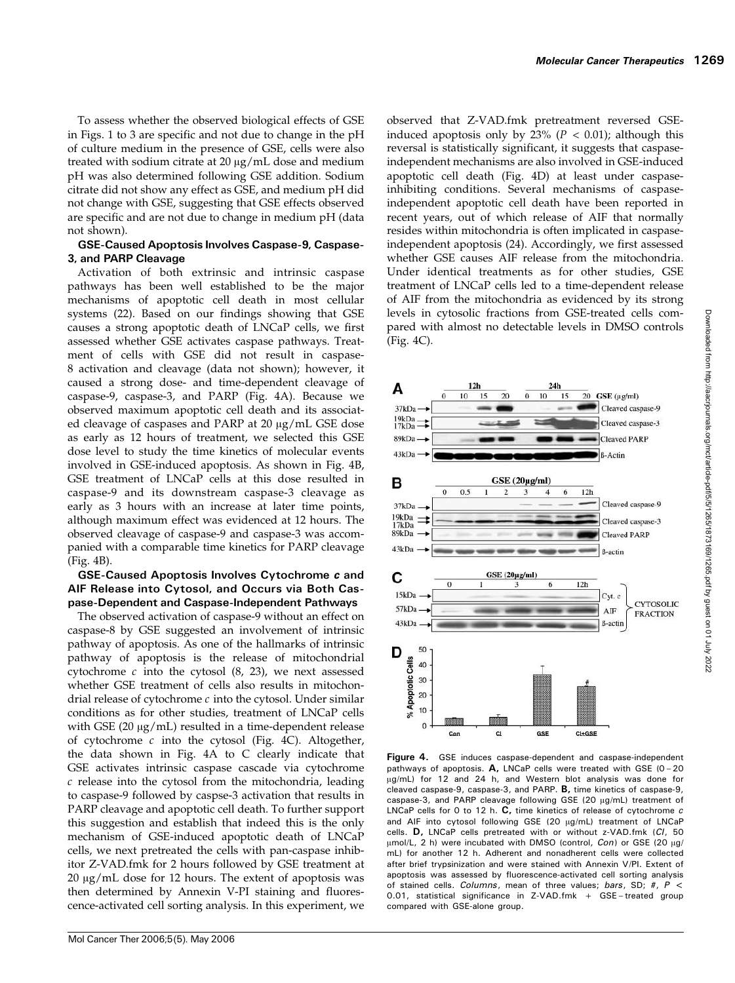To assess whether the observed biological effects of GSE in Figs. 1 to 3 are specific and not due to change in the pH of culture medium in the presence of GSE, cells were also treated with sodium citrate at  $20 \mu g/mL$  dose and medium pH was also determined following GSE addition. Sodium citrate did not showany effect as GSE, and medium pH did not change with GSE, suggesting that GSE effects observed are specific and are not due to change in medium pH (data not shown).

### GSE-Caused Apoptosis Involves Caspase-9, Caspase-3, and PARP Cleavage

Activation of both extrinsic and intrinsic caspase pathways has been well established to be the major mechanisms of apoptotic cell death in most cellular systems (22). Based on our findings showing that GSE causes a strong apoptotic death of LNCaP cells, we first assessed whether GSE activates caspase pathways. Treatment of cells with GSE did not result in caspase-8 activation and cleavage (data not shown); however, it caused a strong dose- and time-dependent cleavage of caspase-9, caspase-3, and PARP (Fig. 4A). Because we observed maximum apoptotic cell death and its associated cleavage of caspases and PARP at  $20 \mu g/mL$  GSE dose as early as 12 hours of treatment, we selected this GSE dose level to study the time kinetics of molecular events involved in GSE-induced apoptosis. As shown in Fig. 4B, GSE treatment of LNCaP cells at this dose resulted in caspase-9 and its downstream caspase-3 cleavage as early as 3 hours with an increase at later time points, although maximum effect was evidenced at 12 hours. The observed cleavage of caspase-9 and caspase-3 was accompanied with a comparable time kinetics for PARP cleavage (Fig. 4B).

## GSE-Caused Apoptosis Involves Cytochrome c and AIF Release into Cytosol, and Occurs via Both Caspase-Dependent and Caspase-Independent Pathways

The observed activation of caspase-9 without an effect on caspase-8 by GSE suggested an involvement of intrinsic pathway of apoptosis. As one of the hallmarks of intrinsic pathway of apoptosis is the release of mitochondrial cytochrome  $c$  into the cytosol  $(8, 23)$ , we next assessed whether GSE treatment of cells also results in mitochondrial release of cytochrome  $c$  into the cytosol. Under similar conditions as for other studies, treatment of LNCaP cells with GSE (20  $\mu$ g/mL) resulted in a time-dependent release of cytochrome  $c$  into the cytosol (Fig. 4C). Altogether, the data shown in Fig. 4A to C clearly indicate that GSE activates intrinsic caspase cascade via cytochrome c release into the cytosol from the mitochondria, leading to caspase-9 followed by caspse-3 activation that results in PARP cleavage and apoptotic cell death. To further support this suggestion and establish that indeed this is the only mechanism of GSE-induced apoptotic death of LNCaP cells, we next pretreated the cells with pan-caspase inhibitor Z-VAD.fmk for 2 hours followed by GSE treatment at  $20 \mu g/mL$  dose for 12 hours. The extent of apoptosis was then determined by Annexin V-PI staining and fluorescence-activated cell sorting analysis. In this experiment, we observed that Z-VAD.fmk pretreatment reversed GSEinduced apoptosis only by 23% ( $P < 0.01$ ); although this reversal is statistically significant, it suggests that caspaseindependent mechanisms are also involved in GSE-induced apoptotic cell death (Fig. 4D) at least under caspaseinhibiting conditions. Several mechanisms of caspaseindependent apoptotic cell death have been reported in recent years, out of which release of AIF that normally resides within mitochondria is often implicated in caspaseindependent apoptosis (24). Accordingly, we first assessed whether GSE causes AIF release from the mitochondria. Under identical treatments as for other studies, GSE treatment of LNCaP cells led to a time-dependent release of AIF from the mitochondria as evidenced by its strong levels in cytosolic fractions from GSE-treated cells compared with almost no detectable levels in DMSO controls (Fig. 4C).



Figure 4. GSE induces caspase-dependent and caspase-independent pathways of apoptosis.  $A$ , LNCaP cells were treated with GSE (0 - 20 µg/mL) for 12 and 24 h, and Western blot analysis was done for cleaved caspase-9, caspase-3, and PARP. B, time kinetics of caspase-9, caspase-3, and PARP cleavage following GSE (20 µg/mL) treatment of LNCaP cells for 0 to 12 h.  $\mathbf{C}$ , time kinetics of release of cytochrome c and AIF into cytosol following GSE (20 µg/mL) treatment of LNCaP cells. D, LNCaP cells pretreated with or without z-VAD.fmk (CI, 50  $\mu$ mol/L, 2 h) were incubated with DMSO (control, Con) or GSE (20  $\mu$ g/ mL) for another 12 h. Adherent and nonadherent cells were collected after brief trypsinization and were stained with Annexin V/PI. Extent of apoptosis was assessed by fluorescence-activated cell sorting analysis of stained cells. Columns, mean of three values; bars, SD; #,  $P <$ 0.01, statistical significance in Z-VAD.fmk + GSE – treated group compared with GSE-alone group.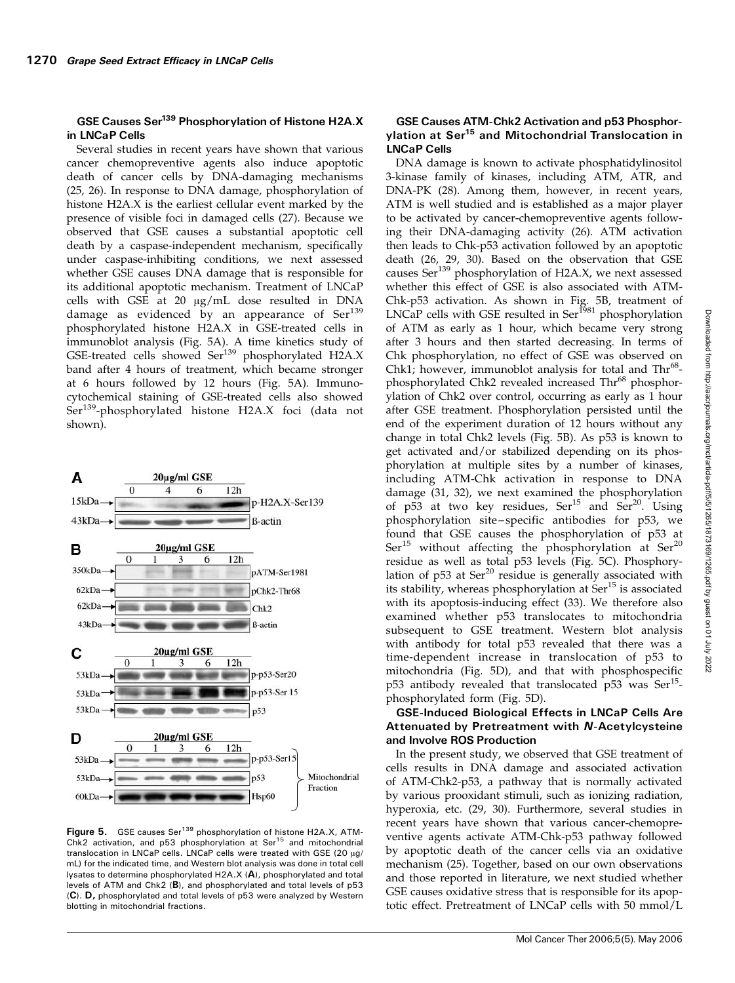## GSE Causes Ser<sup>139</sup> Phosphorylation of Histone H2A.X in LNCaP Cells

Several studies in recent years have shown that various cancer chemopreventive agents also induce apoptotic death of cancer cells by DNA-damaging mechanisms (25, 26). In response to DNA damage, phosphorylation of histone H2A.X is the earliest cellular event marked by the presence of visible foci in damaged cells (27). Because we observed that GSE causes a substantial apoptotic cell death by a caspase-independent mechanism, specifically under caspase-inhibiting conditions, we next assessed whether GSE causes DNA damage that is responsible for its additional apoptotic mechanism. Treatment of LNCaP cells with GSE at 20  $\mu$ g/mL dose resulted in DNA damage as evidenced by an appearance of Ser<sup>139</sup> phosphorylated histone H2A.X in GSE-treated cells in immunoblot analysis (Fig. 5A). A time kinetics study of GSE-treated cells showed Ser<sup>139</sup> phosphorylated H2A.X band after 4 hours of treatment, which became stronger at 6 hours followed by 12 hours (Fig. 5A). Immunocytochemical staining of GSE-treated cells also showed Ser<sup>139</sup>-phosphorylated histone H2A.X foci (data not shown).



Figure 5. GSE causes Ser<sup>139</sup> phosphorylation of histone H2A.X, ATM-Chk2 activation, and p53 phosphorylation at Ser<sup>15</sup> and mitochondrial translocation in LNCaP cells. LNCaP cells were treated with GSE (20  $\mu$ g/ mL) for the indicated time, and Western blot analysis was done in total cell lysates to determine phosphorylated H2A.X (A), phosphorylated and total levels of ATM and Chk2 (B), and phosphorylated and total levels of p53 (C). D, phosphorylated and total levels of p53 were analyzed by Western blotting in mitochondrial fractions.

#### GSE Causes ATM-Chk2 Activation and p53 Phosphorylation at Ser15 and Mitochondrial Translocation in LNCaP Cells

DNA damage is known to activate phosphatidylinositol 3-kinase family of kinases, including ATM, ATR, and DNA-PK (28). Among them, however, in recent years, ATM is well studied and is established as a major player to be activated by cancer-chemopreventive agents following their DNA-damaging activity (26). ATM activation then leads to Chk-p53 activation followed by an apoptotic death (26, 29, 30). Based on the observation that GSE causes  $\text{Ser}^{139}$  phosphorylation of H2A.X, we next assessed whether this effect of GSE is also associated with ATM-Chk-p53 activation. As shown in Fig. 5B, treatment of LNCaP cells with GSE resulted in Ser<sup>1981</sup> phosphorylation of ATM as early as 1 hour, which became very strong after 3 hours and then started decreasing. In terms of Chk phosphorylation, no effect of GSE was observed on Chk1; however, immunoblot analysis for total and  $Thr<sup>68</sup>$ phosphorylated Chk2 revealed increased Thr<sup>68</sup> phosphorylation of Chk2 over control, occurring as early as 1 hour after GSE treatment. Phosphorylation persisted until the end of the experiment duration of 12 hours without any change in total Chk2 levels (Fig. 5B). As p53 is known to get activated and/or stabilized depending on its phosphorylation at multiple sites by a number of kinases, including ATM-Chk activation in response to DNA damage (31, 32), we next examined the phosphorylation of  $p53$  at two key residues,  $Ser<sup>15</sup>$  and  $Ser<sup>20</sup>$ . Using phosphorylation site – specific antibodies for p53, we found that GSE causes the phosphorylation of p53 at  $Ser<sup>15</sup>$  without affecting the phosphorylation at  $Ser<sup>20</sup>$ residue as well as total p53 levels (Fig. 5C). Phosphorylation of p53 at Ser<sup>20</sup> residue is generally associated with its stability, whereas phosphorylation at  $\text{Ser}^{15}$  is associated with its apoptosis-inducing effect (33). We therefore also examined whether p53 translocates to mitochondria subsequent to GSE treatment. Western blot analysis with antibody for total p53 revealed that there was a time-dependent increase in translocation of p53 to mitochondria (Fig. 5D), and that with phosphospecific  $p53$  antibody revealed that translocated  $p53$  was  $Ser<sup>15</sup>$ phosphorylated form (Fig. 5D).

#### GSE-Induced Biological Effects in LNCaP Cells Are Attenuated by Pretreatment with N-Acetylcysteine and Involve ROS Production

In the present study, we observed that GSE treatment of cells results in DNA damage and associated activation of ATM-Chk2-p53, a pathway that is normally activated by various prooxidant stimuli, such as ionizing radiation, hyperoxia, etc. (29, 30). Furthermore, several studies in recent years have shown that various cancer-chemopreventive agents activate ATM-Chk-p53 pathway followed by apoptotic death of the cancer cells via an oxidative mechanism (25). Together, based on our own observations and those reported in literature, we next studied whether GSE causes oxidative stress that is responsible for its apoptotic effect. Pretreatment of LNCaP cells with 50 mmol/L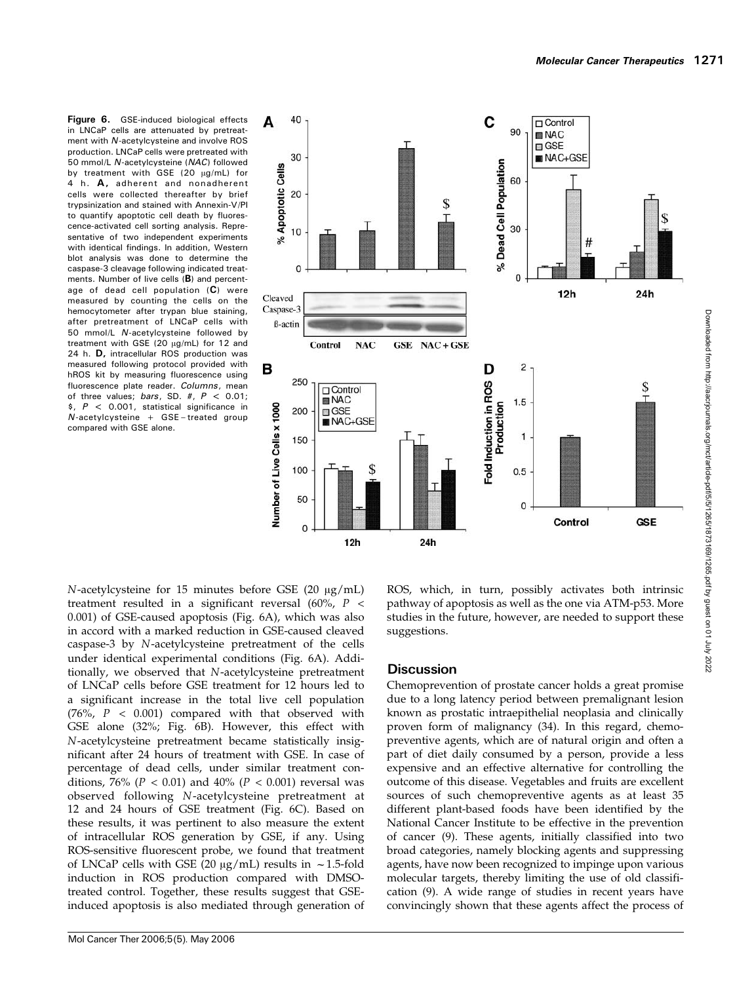Figure 6. GSE-induced biological effects in LNCaP cells are attenuated by pretreatment with N-acetylcysteine and involve ROS production. LNCaP cells were pretreated with 50 mmol/L N-acetylcysteine (NAC) followed by treatment with GSE (20  $\mu$ g/mL) for 4 h. A, adherent and nonadherent cells were collected thereafter by brief trypsinization and stained with Annexin-V/PI to quantify apoptotic cell death by fluorescence-activated cell sorting analysis. Representative of two independent experiments with identical findings. In addition, Western blot analysis was done to determine the caspase-3 cleavage following indicated treatments. Number of live cells (B) and percentage of dead cell population (C) were measured by counting the cells on the hemocytometer after trypan blue staining, after pretreatment of LNCaP cells with 50 mmol/L N-acetylcysteine followed by treatment with GSE (20  $\mu$ g/mL) for 12 and 24 h. D, intracellular ROS production was measured following protocol provided with hROS kit by measuring fluorescence using fluorescence plate reader. Columns, mean of three values; bars, SD. #,  $P < 0.01$ ;  $$P < 0.001$ , statistical significance in  $N$ -acetylcysteine + GSE-treated group compared with GSE alone.



 $N$ -acetylcysteine for 15 minutes before GSE (20  $\mu$ g/mL) treatment resulted in a significant reversal (60%,  $P$  < 0.001) of GSE-caused apoptosis (Fig. 6A), which was also in accord with a marked reduction in GSE-caused cleaved caspase-3 by N-acetylcysteine pretreatment of the cells under identical experimental conditions (Fig. 6A). Additionally, we observed that N-acetylcysteine pretreatment of LNCaP cells before GSE treatment for 12 hours led to a significant increase in the total live cell population (76%,  $P$  < 0.001) compared with that observed with GSE alone (32%; Fig. 6B). However, this effect with N-acetylcysteine pretreatment became statistically insignificant after 24 hours of treatment with GSE. In case of percentage of dead cells, under similar treatment conditions, 76% ( $P < 0.01$ ) and 40% ( $P < 0.001$ ) reversal was observed following N-acetylcysteine pretreatment at 12 and 24 hours of GSE treatment (Fig. 6C). Based on these results, it was pertinent to also measure the extent of intracellular ROS generation by GSE, if any. Using ROS-sensitive fluorescent probe, we found that treatment of LNCaP cells with GSE (20  $\mu$ g/mL) results in ~1.5-fold induction in ROS production compared with DMSOtreated control. Together, these results suggest that GSEinduced apoptosis is also mediated through generation of ROS, which, in turn, possibly activates both intrinsic pathway of apoptosis as well as the one via ATM-p53. More studies in the future, however, are needed to support these suggestions.

## **Discussion**

Chemoprevention of prostate cancer holds a great promise due to a long latency period between premalignant lesion known as prostatic intraepithelial neoplasia and clinically proven form of malignancy (34). In this regard, chemopreventive agents, which are of natural origin and often a part of diet daily consumed by a person, provide a less expensive and an effective alternative for controlling the outcome of this disease. Vegetables and fruits are excellent sources of such chemopreventive agents as at least 35 different plant-based foods have been identified by the National Cancer Institute to be effective in the prevention of cancer (9). These agents, initially classified into two broad categories, namely blocking agents and suppressing agents, have now been recognized to impinge upon various molecular targets, thereby limiting the use of old classification (9). A wide range of studies in recent years have convincingly shown that these agents affect the process of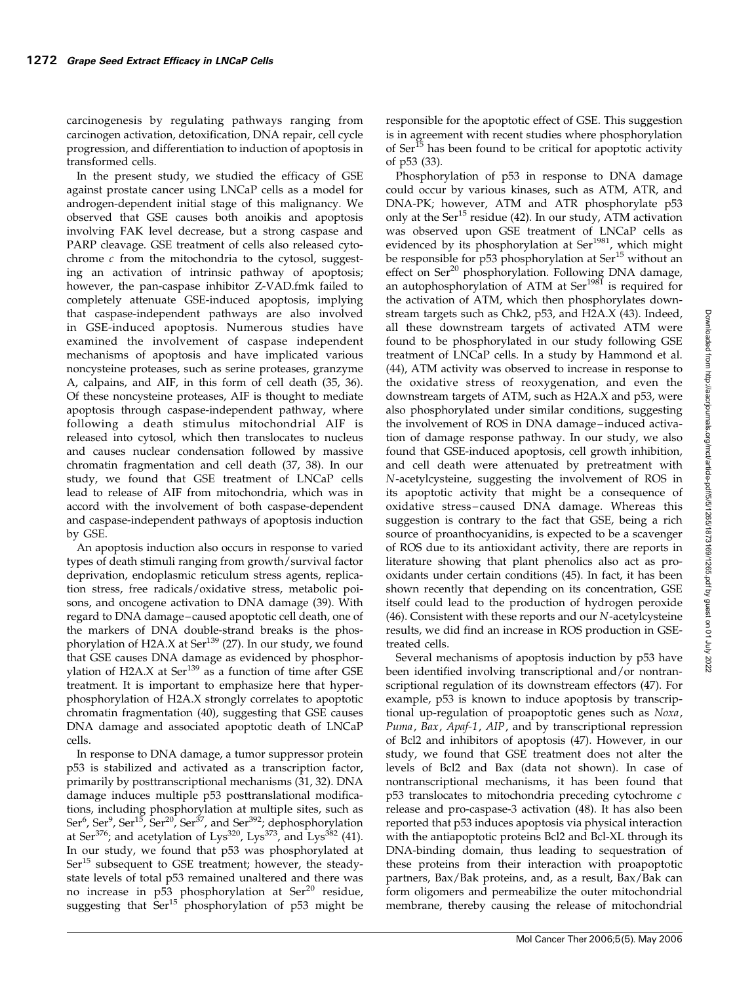carcinogenesis by regulating pathways ranging from carcinogen activation, detoxification, DNA repair, cell cycle progression, and differentiation to induction of apoptosis in transformed cells.

In the present study, we studied the efficacy of GSE against prostate cancer using LNCaP cells as a model for androgen-dependent initial stage of this malignancy. We observed that GSE causes both anoikis and apoptosis involving FAK level decrease, but a strong caspase and PARP cleavage. GSE treatment of cells also released cytochrome  $c$  from the mitochondria to the cytosol, suggesting an activation of intrinsic pathway of apoptosis; however, the pan-caspase inhibitor Z-VAD.fmk failed to completely attenuate GSE-induced apoptosis, implying that caspase-independent pathways are also involved in GSE-induced apoptosis. Numerous studies have examined the involvement of caspase independent mechanisms of apoptosis and have implicated various noncysteine proteases, such as serine proteases, granzyme A, calpains, and AIF, in this form of cell death (35, 36). Of these noncysteine proteases, AIF is thought to mediate apoptosis through caspase-independent pathway, where following a death stimulus mitochondrial AIF is released into cytosol, which then translocates to nucleus and causes nuclear condensation followed by massive chromatin fragmentation and cell death (37, 38). In our study, we found that GSE treatment of LNCaP cells lead to release of AIF from mitochondria, which was in accord with the involvement of both caspase-dependent and caspase-independent pathways of apoptosis induction by GSE.

An apoptosis induction also occurs in response to varied types of death stimuli ranging from growth/survival factor deprivation, endoplasmic reticulum stress agents, replication stress, free radicals/oxidative stress, metabolic poisons, and oncogene activation to DNA damage (39). With regard to DNA damage – caused apoptotic cell death, one of the markers of DNA double-strand breaks is the phosphorylation of H2A.X at Ser<sup>139</sup> (27). In our study, we found that GSE causes DNA damage as evidenced by phosphorvlation of H2A.X at  $\text{Ser}^{139}$  as a function of time after GSE treatment. It is important to emphasize here that hyperphosphorylation of H2A.X strongly correlates to apoptotic chromatin fragmentation (40), suggesting that GSE causes DNA damage and associated apoptotic death of LNCaP cells.

In response to DNA damage, a tumor suppressor protein p53 is stabilized and activated as a transcription factor, primarily by posttranscriptional mechanisms (31, 32). DNA damage induces multiple p53 posttranslational modifications, including phosphorylation at multiple sites, such as Ser<sup>6</sup>, Ser<sup>9</sup>, Ser<sup>15</sup>, Ser<sup>20</sup>, Ser<sup>37</sup>, and Ser<sup>392</sup>; dephosphorylation at Ser<sup>376</sup>; and acetylation of Lys<sup>320</sup>, Lys<sup>373</sup>, and Lys<sup>382</sup> (41). In our study, we found that p53 was phosphorylated at  $\text{Ser}^{15}$  subsequent to GSE treatment; however, the steadystate levels of total p53 remained unaltered and there was no increase in p53 phosphorylation at Ser<sup>20</sup> residue, suggesting that  $\text{Ser}^{15}$  phosphorylation of p53 might be

responsible for the apoptotic effect of GSE. This suggestion is in agreement with recent studies where phosphorylation of Ser<sup>15</sup> has been found to be critical for apoptotic activity of p53 (33).

Phosphorylation of p53 in response to DNA damage could occur by various kinases, such as ATM, ATR, and DNA-PK; however, ATM and ATR phosphorylate p53 only at the Ser<sup>15</sup> residue (42). In our study, ATM activation was observed upon GSE treatment of LNCaP cells as evidenced by its phosphorylation at Ser<sup>1981</sup>, which might be responsible for p53 phosphorylation at Ser<sup>15</sup> without an effect on Ser<sup>20</sup> phosphorylation. Following DNA damage, an autophosphorylation of ATM at Ser<sup>1981</sup> is required for the activation of ATM, which then phosphorylates downstream targets such as Chk2, p53, and H2A.X (43). Indeed, all these downstream targets of activated ATM were found to be phosphorylated in our study following GSE treatment of LNCaP cells. In a study by Hammond et al. (44), ATM activity was observed to increase in response to the oxidative stress of reoxygenation, and even the downstream targets of ATM, such as H2A.X and p53, were also phosphorylated under similar conditions, suggesting the involvement of ROS in DNA damage –induced activation of damage response pathway. In our study, we also found that GSE-induced apoptosis, cell growth inhibition, and cell death were attenuated by pretreatment with N-acetylcysteine, suggesting the involvement of ROS in its apoptotic activity that might be a consequence of oxidative stress –caused DNA damage. Whereas this suggestion is contrary to the fact that GSE, being a rich source of proanthocyanidins, is expected to be a scavenger of ROS due to its antioxidant activity, there are reports in literature showing that plant phenolics also act as prooxidants under certain conditions (45). In fact, it has been shown recently that depending on its concentration, GSE itself could lead to the production of hydrogen peroxide (46). Consistent with these reports and our N-acetylcysteine results, we did find an increase in ROS production in GSEtreated cells.

Several mechanisms of apoptosis induction by p53 have been identified involving transcriptional and/or nontranscriptional regulation of its downstream effectors (47). For example, p53 is known to induce apoptosis by transcriptional up-regulation of proapoptotic genes such as Noxa, Puma, Bax, Apaf-1, AIP, and by transcriptional repression of Bcl2 and inhibitors of apoptosis (47). However, in our study, we found that GSE treatment does not alter the levels of Bcl2 and Bax (data not shown). In case of nontranscriptional mechanisms, it has been found that p53 translocates to mitochondria preceding cytochrome c release and pro-caspase-3 activation (48). It has also been reported that p53 induces apoptosis via physical interaction with the antiapoptotic proteins Bcl2 and Bcl-XL through its DNA-binding domain, thus leading to sequestration of these proteins from their interaction with proapoptotic partners, Bax/Bak proteins, and, as a result, Bax/Bak can form oligomers and permeabilize the outer mitochondrial membrane, thereby causing the release of mitochondrial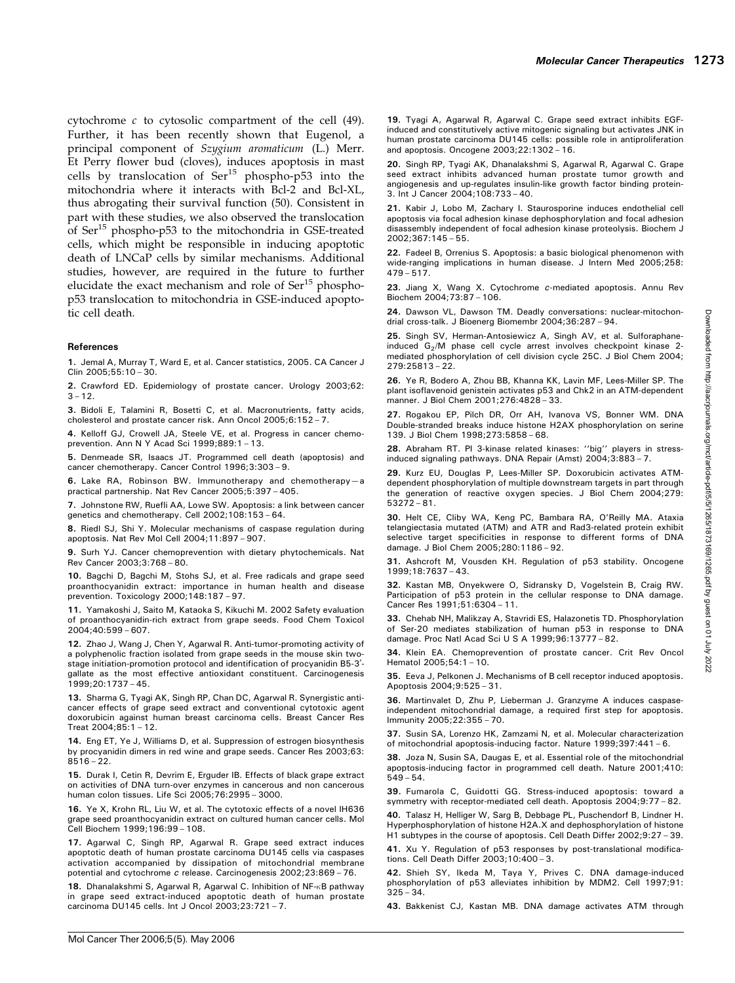cytochrome c to cytosolic compartment of the cell (49). Further, it has been recently shown that Eugenol, a principal component of Szygium aromaticum (L.) Merr. Et Perry flower bud (cloves), induces apoptosis in mast cells by translocation of Ser<sup>15</sup> phospho-p53 into the mitochondria where it interacts with Bcl-2 and Bcl-XL, thus abrogating their survival function (50). Consistent in part with these studies, we also observed the translocation of Ser<sup>15</sup> phospho-p53 to the mitochondria in GSE-treated cells, which might be responsible in inducing apoptotic death of LNCaP cells by similar mechanisms. Additional studies, however, are required in the future to further elucidate the exact mechanism and role of  $\text{Ser}^{15}$  phosphop53 translocation to mitochondria in GSE-induced apoptotic cell death.

#### References

1. Jemal A, Murray T, Ward E, et al. Cancer statistics, 2005. CA Cancer J Clin 2005;55:10 – 30.

2. Crawford ED. Epidemiology of prostate cancer. Urology 2003;62:  $3 - 12$ .

3. Bidoli E, Talamini R, Bosetti C, et al. Macronutrients, fatty acids, cholesterol and prostate cancer risk. Ann Oncol 2005;6:152 – 7.

4. Kelloff GJ, Crowell JA, Steele VE, et al. Progress in cancer chemoprevention. Ann N Y Acad Sci 1999;889:1 – 13.

5. Denmeade SR, Isaacs JT. Programmed cell death (apoptosis) and cancer chemotherapy. Cancer Control 1996;3:303 – 9.

6. Lake RA, Robinson BW. Immunotherapy and chemotherapy—a practical partnership. Nat Rev Cancer 2005;5:397 – 405.

7. Johnstone RW, Ruefli AA, Lowe SW. Apoptosis: a link between cancer genetics and chemotherapy. Cell 2002;108:153 – 64.

8. Riedl SJ, Shi Y. Molecular mechanisms of caspase regulation during apoptosis. Nat Rev Mol Cell 2004;11:897 – 907.

9. Surh YJ. Cancer chemoprevention with dietary phytochemicals. Nat Rev Cancer 2003;3:768 – 80.

10. Bagchi D, Bagchi M, Stohs SJ, et al. Free radicals and grape seed proanthocyanidin extract: importance in human health and disease prevention. Toxicology 2000;148:187 – 97.

11. Yamakoshi J, Saito M, Kataoka S, Kikuchi M. 2002 Safety evaluation of proanthocyanidin-rich extract from grape seeds. Food Chem Toxicol 2004;40:599 – 607.

12. Zhao J, Wang J, Chen Y, Agarwal R. Anti-tumor-promoting activity of a polyphenolic fraction isolated from grape seeds in the mouse skin twostage initiation-promotion protocol and identification of procyanidin B5-3'gallate as the most effective antioxidant constituent. Carcinogenesis 1999;20:1737 – 45.

13. Sharma G, Tyagi AK, Singh RP, Chan DC, Agarwal R. Synergistic anticancer effects of grape seed extract and conventional cytotoxic agent doxorubicin against human breast carcinoma cells. Breast Cancer Res Treat 2004;85:1 – 12.

14. Eng ET, Ye J, Williams D, et al. Suppression of estrogen biosynthesis by procyanidin dimers in red wine and grape seeds. Cancer Res 2003;63:  $8516 - 22$ .

15. Durak I, Cetin R, Devrim E, Erguder IB. Effects of black grape extract on activities of DNA turn-over enzymes in cancerous and non cancerous human colon tissues. Life Sci 2005;76:2995 – 3000.

16. Ye X, Krohn RL, Liu W, et al. The cytotoxic effects of a novel IH636 grape seed proanthocyanidin extract on cultured human cancer cells. Mol Cell Biochem 1999;196:99 – 108.

17. Agarwal C, Singh RP, Agarwal R. Grape seed extract induces apoptotic death of human prostate carcinoma DU145 cells via caspases activation accompanied by dissipation of mitochondrial membrane potential and cytochrome c release. Carcinogenesis 2002;23:869 – 76.

18. Dhanalakshmi S, Agarwal R, Agarwal C. Inhibition of NF-KB pathway in grape seed extract-induced apoptotic death of human prostate carcinoma DU145 cells. Int J Oncol 2003;23:721 – 7.

19. Tyagi A, Agarwal R, Agarwal C. Grape seed extract inhibits EGFinduced and constitutively active mitogenic signaling but activates JNK in human prostate carcinoma DU145 cells: possible role in antiproliferation and apoptosis. Oncogene 2003;22:1302 – 16.

20. Singh RP, Tyagi AK, Dhanalakshmi S, Agarwal R, Agarwal C. Grape seed extract inhibits advanced human prostate tumor growth and angiogenesis and up-regulates insulin-like growth factor binding protein-3. Int J Cancer 2004;108:733 – 40.

21. Kabir J, Lobo M, Zachary I. Staurosporine induces endothelial cell apoptosis via focal adhesion kinase dephosphorylation and focal adhesion disassembly independent of focal adhesion kinase proteolysis. Biochem J 2002;367:145 – 55.

22. Fadeel B, Orrenius S, Apoptosis: a basic biological phenomenon with wide-ranging implications in human disease. J Intern Med 2005;258: 479 – 517.

23. Jiang X, Wang X. Cytochrome c-mediated apoptosis. Annu Rev Biochem 2004;73:87 – 106.

24. Dawson VL, Dawson TM. Deadly conversations: nuclear-mitochondrial cross-talk. J Bioenerg Biomembr 2004;36:287 – 94.

25. Singh SV, Herman-Antosiewicz A, Singh AV, et al. Sulforaphaneinduced G<sub>2</sub>/M phase cell cycle arrest involves checkpoint kinase 2mediated phosphorylation of cell division cycle 25C. J Biol Chem 2004; 279:25813 – 22.

26. Ye R, Bodero A, Zhou BB, Khanna KK, Lavin MF, Lees-Miller SP. The plant isoflavenoid genistein activates p53 and Chk2 in an ATM-dependent manner. J Biol Chem 2001;276:4828 – 33.

27. Rogakou EP, Pilch DR, Orr AH, Ivanova VS, Bonner WM. DNA Double-stranded breaks induce histone H2AX phosphorylation on serine 139. J Biol Chem 1998;273:5858 – 68.

28. Abraham RT. PI 3-kinase related kinases: ''big'' players in stressinduced signaling pathways. DNA Repair (Amst) 2004;3:883 – 7.

29. Kurz EU, Douglas P, Lees-Miller SP. Doxorubicin activates ATMdependent phosphorylation of multiple downstream targets in part through the generation of reactive oxygen species. J Biol Chem 2004;279: 53272 – 81.

30. Helt CE, Cliby WA, Keng PC, Bambara RA, O'Reilly MA. Ataxia telangiectasia mutated (ATM) and ATR and Rad3-related protein exhibit selective target specificities in response to different forms of DNA damage. J Biol Chem 2005;280:1186 – 92.

31. Ashcroft M, Vousden KH. Regulation of p53 stability. Oncogene 1999;18:7637 – 43.

32. Kastan MB, Onyekwere O, Sidransky D, Vogelstein B, Craig RW. Participation of p53 protein in the cellular response to DNA damage. Cancer Res 1991;51:6304 – 11.

33. Chehab NH, Malikzay A, Stavridi ES, Halazonetis TD. Phosphorylation of Ser-20 mediates stabilization of human p53 in response to DNA damage. Proc Natl Acad Sci U S A 1999;96:13777 – 82.

34. Klein EA. Chemoprevention of prostate cancer. Crit Rev Oncol Hematol 2005;54:1 – 10.

35. Eeva J, Pelkonen J. Mechanisms of B cell receptor induced apoptosis. Apoptosis 2004;9:525 – 31.

36. Martinvalet D, Zhu P, Lieberman J. Granzyme A induces caspaseindependent mitochondrial damage, a required first step for apoptosis. Immunity 2005;22:355 – 70.

37. Susin SA, Lorenzo HK, Zamzami N, et al. Molecular characterization of mitochondrial apoptosis-inducing factor. Nature 1999;397:441 – 6.

38. Joza N, Susin SA, Daugas E, et al. Essential role of the mitochondrial apoptosis-inducing factor in programmed cell death. Nature 2001;410: 549 – 54.

39. Fumarola C, Guidotti GG. Stress-induced apoptosis: toward a symmetry with receptor-mediated cell death. Apoptosis 2004;9:77 – 82.

40. Talasz H, Helliger W, Sarg B, Debbage PL, Puschendorf B, Lindner H. Hyperphosphorylation of histone H2A.X and dephosphorylation of histone H1 subtypes in the course of apoptosis. Cell Death Differ 2002;9:27 – 39.

41. Xu Y. Regulation of p53 responses by post-translational modifications. Cell Death Differ 2003;10:400 – 3.

42. Shieh SY, Ikeda M, Taya Y, Prives C. DNA damage-induced phosphorylation of p53 alleviates inhibition by MDM2. Cell 1997;91: 325 – 34.

43. Bakkenist CJ, Kastan MB. DNA damage activates ATM through